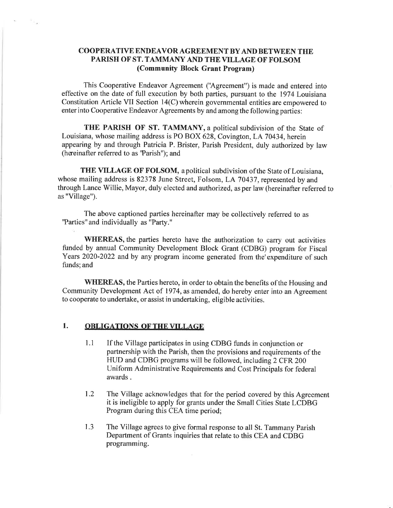### COOPERATIVE ENDEAVOR AGREEMENT BY AND BETWEEN THE PARISH OF ST. TAMMANY AND THE VILLAGE OF FOLSOM (Community Block Grant Program)

This Cooperative Endeavor Agreement ('Agreement") is made and entered into effective on the date of full execution by both parties, pursuant to the 1974 Louisiana Constitution Article VII Section 14(C) wherein governmental entities are empowered to enter into Cooperative Endeavor Agreements by and among the following parties:

THE PARISH OF ST. TAMMANY, a political subdivision of the State of Louisiana, whose mailing address is PO BOX 628, Covington, LA 70434, herein appearing by and through Patricia P. Brister, Parish President, duly authorized by law (hereinafter referred to as 'Parish''); and

THE VILLAGE OF FOLSOM, apolitical subdivision ofthe State of Louisiana, whose mailing address is 82378 June Street, Folsom, LA 70437, represented by and through Lance Willie, Mayor, duly elected and authorized, as per law (hereinafter referred to as "Village").

The above captioned parties hereinafter may be collectively refemed to as "Parties" and individually as "Party."

WHEREAS, the parties hereto have the authorization to carry out activities funded by annual Community Development Block Grant (CDBG) program for Fiscal Years 2020-2022 and by any program income generated from the'expenditure of such funds; and

WHEREAS, the Parties hereto, in order to obtain the benefits of the Housing and Community Development Act of 1974, as amended, do hereby enter into an Agreement to cooperate to undertake, or assist in undertaking, eligible activities.

#### 1. ORLIGATIONS OFTHEVILLAGE

 $\overline{\Sigma}_{\rm{max}}$ 

- 1.1 If the Village participates in using CDBG funds in conjunction or partnership with the Parish, then the provisions and requirements of the HUD and CDBG programs will be followed, including 2 CFR 200 Uniform Administrative Requirements and Cost Principals for federal awards .
- 1.2 The Village acknowledges that for the period covered by this Agreement it is ineligible to apply for grants under the Small Cities State LCDBG Program during this CEA time period;
- The Village agrees to give formal response to all St. Tammany Parish Department of Grants inquiries that relate to this CEA and CDBG programming. 1.3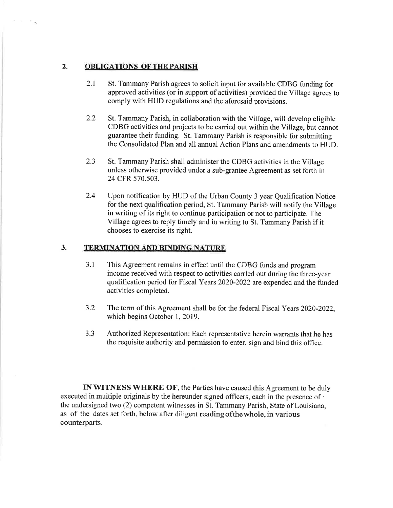### 2. OBLIGATIONS OF THE PARISH

 $\mathcal{M}=\mathcal{M}_{\mathcal{A}_0}$ 

- 2.1 St. Tammany Parish agrees to solicit input for available CDBG funding for approved activities (or in support of activities) provided the Village agrees to comply with HUD regulations and the aforesaid provisions.
- 2.2 St. Tammany Parish, in collaboration with the Village, will develop eligible CDBG activities and projects to be carried out within the Village, but cannot guarantee their funding. St. Tammany Parish is responsible for submitting the Consolidated Plan and all annual Action Plans and amendments to HUD.
- 2.3 St. Tammany Parish shall administer the CDBG activities in the Village unless otherwise provided under a sub-grantee Agreement as set forth in 24 CFR 570.503.
- Upon notification by HUD of the Urban County 3 year Qualification Notice for the next qualification period, St. Tammany Parish will notify the Village in writing of its right to continue participation or not to participate. The Village agrees to reply timely and in writing to St. Tammany Parish if it chooses to exercise its right. 2.4

# 3. TERMINATION AND BINDING NATURE

- 3.1 This Agreement remains in effect until the CDBG funds and program income received with respect to activities carried out during the three-year qualification period for Fiscal Years 2020-2022 are expended and the funded activities completed.
- 3.2 The term of this Agreement shall be for the federal Fiscal Years 2020-2022, which begins October 1, 2019.
- 3.3 Authorized Representation: Each representative herein warrants that he has the requisite authority and permission to enter, sign and bind this office.

INWITNESS WHERE OF, the Parties have caused this Agreement to be duly executed in multiple originals by the hereunder signed officers, each in the presence of ' the undersigned two (2) competent witnesses in St. Tammany Parish, State of Louisiana, as of the dates set forth, below after diligent readingofthewhole, in various counterparts.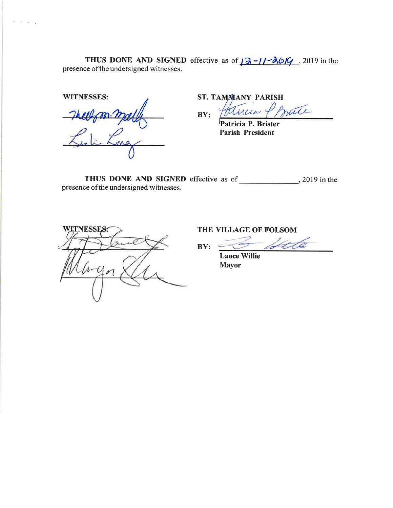**THUS DONE AND SIGNED** effective as of  $\sqrt{2}$  - $\sqrt{36/9}$ , 2019 in the presence of the undersigned witnesses.

WITNESSES:

 $\mathcal{H} \cap \mathcal{H} = \mathcal{H} \cap \mathcal{H}$ 

Hells m. mall  $K_{\rm s}$  in Ling  $\cup$ 

ST. TAMMANY PARISH

mate  $BY:$ 

Patricia P. Brister Parish President

THUS DONE AND SIGNED effective as of 2019 in the presence ofthe undersigned witnesses.



THE VILLAGE OF FOLSOM

 $BY: \t\t\t\subseteq$ 

Ute

Lance Willie Mayor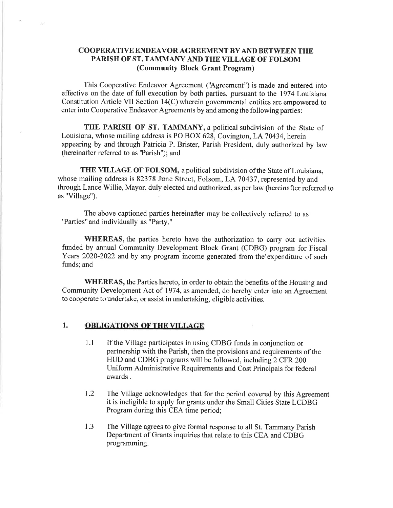#### COOPERATIVE ENDEAVOR AGREEMENT BY AND BETWEEN THE PARISH OF ST. TAMMANY AND THE VILLAGE OF FOLSOM (Community Block Grant Program)

This Cooperative Endeavor Agreement ('Agreement") is made and entered into effective onthe date of full execution by both parties, pursuant to the 1974 Louisiana Constitution Article VII Section 14(C) wherein govemmental entities are empowered to enter into Cooperative Endeavor Agreements by and among the following parties:

THE PARISH OF ST. TAMMANY, a political subdivision of the State of Louisiana, whose mailing address is PO BOX 628, Covington, LA 70434, herein appearing by and through Patricia P. Brister, Parish President, duly authorized by law (hereinafter referred to as "Parish"); and

THE VILLAGE OF FOLSOM, a political subdivision of the State of Louisiana, whose mailing address is 82378 June Street, Folsom, LA 70437, represented by and through Lance Willie, Mayor, duly elected and authorized, as per law (hereinafter referred to as "Village").

The above captioned parties hereinafter may be collectively referred to as "Parties" and individually as "Party."

WHEREAS, the parties hereto have the authorization to carry out activities funded by annual Community Development Block Grant (CDBG) program for Fiscal Years 2020-2022 and by any program income generated from the'expenditure of such funds; and

WHEREAS, the Parties hereto, in order to obtain the benefits of the Housing and Community Development Act of 1974, as amended, do hereby enter into an Agreement to cooperate to undertake, or assist in undertaking, eligible activities.

## 1. OBLIGATIONS OF THE VILLAGE

- 1.1 If the Village participates in using CDBG funds in conjunction or partnership with the Parish, then the provisions and requirements of the HUD and CDBG programs will be followed, including 2 CFR 200 Uniform Administrative Requirements and Cost Principals for federal awards .
- 1.2 The Village acknowledges that for the period covered by this Agreement it is ineligible to apply for grants under the Small Cities State LCDBG Program during this CEA time period;
- The Village agrees to give formal response to all St. Tammany Parish Department of Grants inquiries that relate to this CEA and CDBG programming. 1.3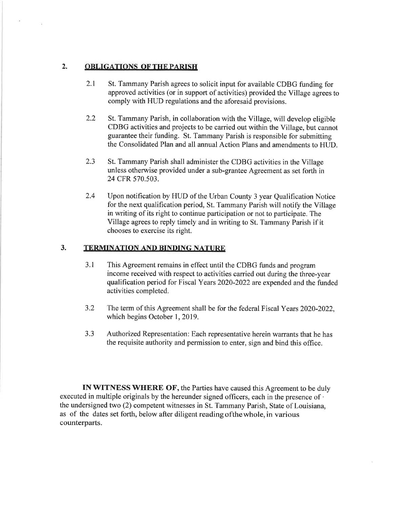## 2. OBLIGATIONS OF THE PARISH

 $\overline{\mathcal{A}}$ 

- 2.I St. Tammany Parish agrees to solicit input for available CDBG funding for approved activities (or in support of activities) provided the Village agrees to comply with HUD regulations and the aforesaid provisions.
- 2.2 St. Tammany Parish, in collaboration with the Village, will develop eligible CDBG activities and projects to be carried out within the Village, but cannot guarantee their funding. St. Tammany Parish is responsible for submiffing the Consolidated Plan and all annual Action Plans and amendments to HUD.
- 2.3 St. Tammany Parish shall administer the CDBG activities in the Village unless otherwise provided under a sub-grantee Agreement as set forth in 24 CFR 570.503.
- Upon notification by HUD of the Urban County 3 year Qualification Notice for the next qualification period, St. Tammany Parish will notify the Village in writing of its right to continue participation or not to participate. The Village agrees to reply timely and in writing to St. Tammany Parish if it chooses to exercise its right. 2.4

### 3. TERMINATION AND BINDING NATURE

- 3.1 This Agreement remains in effect until the CDBG funds and program income received with respect to activities carried out during the three-year qualification period for Fiscal Years 2020-2022 are expended and the funded activities completed.
- 3.2 The term of this Agreement shall be for the federal Fiscal Years 2020-2022, which begins October 1, 2019.
- J.J Authorized Representation: Each representative herein warrants that he has the requisite authority and permission to enter, sign and bind this office.

INWITNESS WHERE OF, the Parties have caused this Agreement to be duly executed in multiple originals by the hereunder signed officers, each in the presence of . the undersigned two (2) competent witnesses in St. Tammany Parish, State of Louisiana, as of the dates set forth, below after diligent reading ofthewhole, in various counterparts.